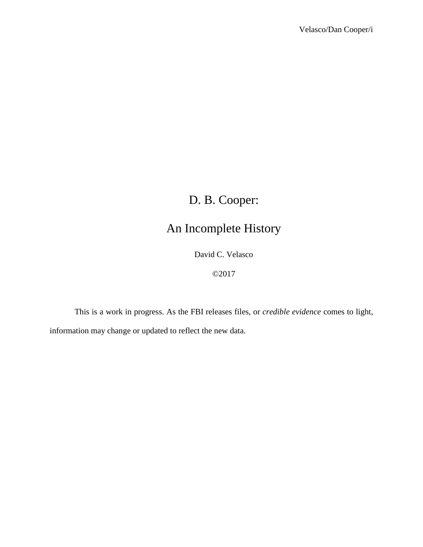# D. B. Cooper:

# An Incomplete History

David C. Velasco

©2017

This is a work in progress. As the FBI releases files, or *credible evidence* comes to light, information may change or updated to reflect the new data.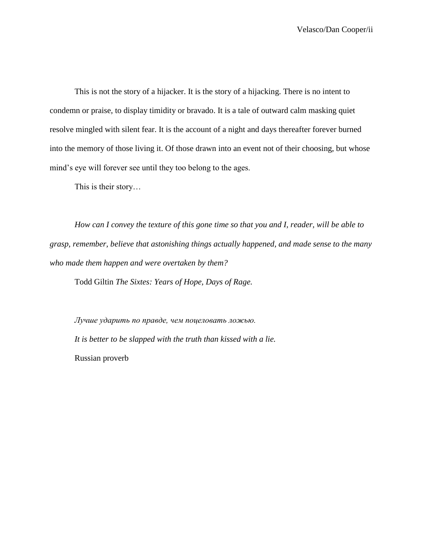This is not the story of a hijacker. It is the story of a hijacking. There is no intent to condemn or praise, to display timidity or bravado. It is a tale of outward calm masking quiet resolve mingled with silent fear. It is the account of a night and days thereafter forever burned into the memory of those living it. Of those drawn into an event not of their choosing, but whose mind's eye will forever see until they too belong to the ages.

This is their story…

*How can I convey the texture of this gone time so that you and I, reader, will be able to grasp, remember, believe that astonishing things actually happened, and made sense to the many who made them happen and were overtaken by them?*

Todd Giltin *The Sixtes: Years of Hope, Days of Rage.*

*Лучше ударить по правде, чем поцеловать ложью. It is better to be slapped with the truth than kissed with a lie.* Russian proverb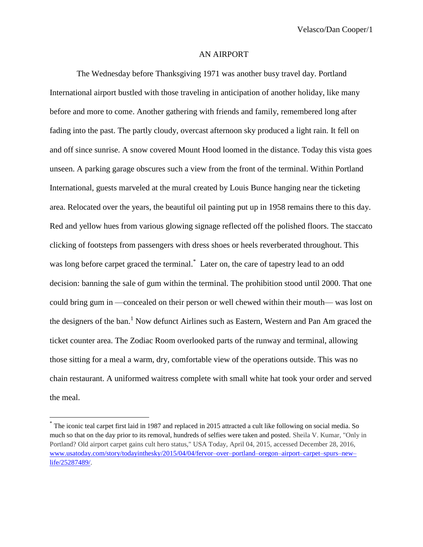Velasco/Dan Cooper/1

#### AN AIRPORT

The Wednesday before Thanksgiving 1971 was another busy travel day. Portland International airport bustled with those traveling in anticipation of another holiday, like many before and more to come. Another gathering with friends and family, remembered long after fading into the past. The partly cloudy, overcast afternoon sky produced a light rain. It fell on and off since sunrise. A snow covered Mount Hood loomed in the distance. Today this vista goes unseen. A parking garage obscures such a view from the front of the terminal. Within Portland International, guests marveled at the mural created by Louis Bunce hanging near the ticketing area. Relocated over the years, the beautiful oil painting put up in 1958 remains there to this day. Red and yellow hues from various glowing signage reflected off the polished floors. The staccato clicking of footsteps from passengers with dress shoes or heels reverberated throughout. This was long before carpet graced the terminal.<sup>\*</sup> Later on, the care of tapestry lead to an odd decision: banning the sale of gum within the terminal. The prohibition stood until 2000. That one could bring gum in —concealed on their person or well chewed within their mouth— was lost on the designers of the ban.<sup>1</sup> Now defunct Airlines such as Eastern, Western and Pan Am graced the ticket counter area. The Zodiac Room overlooked parts of the runway and terminal, allowing those sitting for a meal a warm, dry, comfortable view of the operations outside. This was no chain restaurant. A uniformed waitress complete with small white hat took your order and served the meal.

<sup>\*</sup> The iconic teal carpet first laid in 1987 and replaced in 2015 attracted a cult like following on social media. So much so that on the day prior to its removal, hundreds of selfies were taken and posted. Sheila V. Kumar, "Only in Portland? Old airport carpet gains cult hero status," USA Today, April 04, 2015, accessed December 28, 2016, [www.usatoday.com/story/todayinthesky/2015/04/04/fervor–over–portland–oregon–airport–carpet–spurs–new–](http://www.usatoday.com/story/todayinthesky/2015/04/04/fervor-over-portland-oregon-airport-carpet-spurs-new-life/25287489/) [life/25287489/.](http://www.usatoday.com/story/todayinthesky/2015/04/04/fervor-over-portland-oregon-airport-carpet-spurs-new-life/25287489/)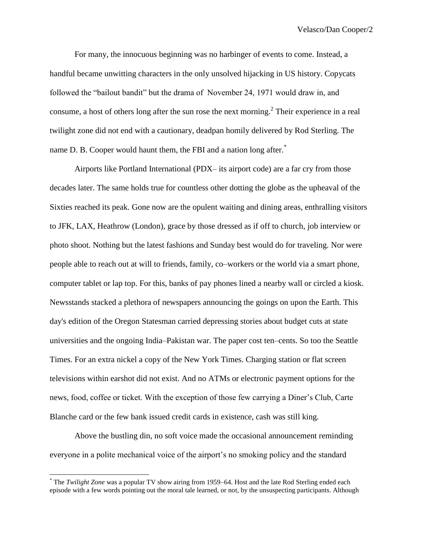For many, the innocuous beginning was no harbinger of events to come. Instead, a handful became unwitting characters in the only unsolved hijacking in US history. Copycats followed the "bailout bandit" but the drama of November 24, 1971 would draw in, and consume, a host of others long after the sun rose the next morning.<sup>2</sup> Their experience in a real twilight zone did not end with a cautionary, deadpan homily delivered by Rod Sterling. The name D. B. Cooper would haunt them, the FBI and a nation long after.

Airports like Portland International (PDX– its airport code) are a far cry from those decades later. The same holds true for countless other dotting the globe as the upheaval of the Sixties reached its peak. Gone now are the opulent waiting and dining areas, enthralling visitors to JFK, LAX, Heathrow (London), grace by those dressed as if off to church, job interview or photo shoot. Nothing but the latest fashions and Sunday best would do for traveling. Nor were people able to reach out at will to friends, family, co–workers or the world via a smart phone, computer tablet or lap top. For this, banks of pay phones lined a nearby wall or circled a kiosk. Newsstands stacked a plethora of newspapers announcing the goings on upon the Earth. This day's edition of the Oregon Statesman carried depressing stories about budget cuts at state universities and the ongoing India–Pakistan war. The paper cost ten–cents. So too the Seattle Times. For an extra nickel a copy of the New York Times. Charging station or flat screen televisions within earshot did not exist. And no ATMs or electronic payment options for the news, food, coffee or ticket. With the exception of those few carrying a Diner's Club, Carte Blanche card or the few bank issued credit cards in existence, cash was still king.

Above the bustling din, no soft voice made the occasional announcement reminding everyone in a polite mechanical voice of the airport's no smoking policy and the standard

<sup>\*</sup> The *Twilight Zone* was a popular TV show airing from 1959–64. Host and the late Rod Sterling ended each episode with a few words pointing out the moral tale learned, or not, by the unsuspecting participants. Although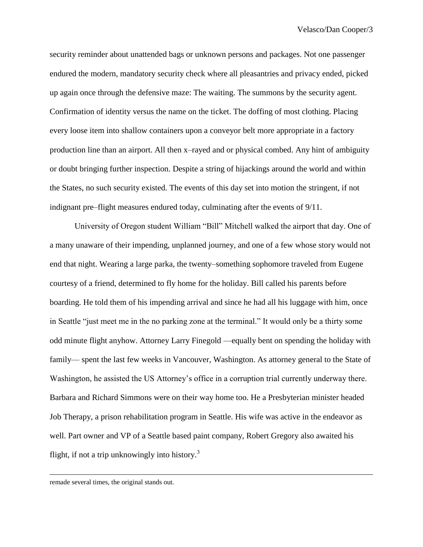security reminder about unattended bags or unknown persons and packages. Not one passenger endured the modern, mandatory security check where all pleasantries and privacy ended, picked up again once through the defensive maze: The waiting. The summons by the security agent. Confirmation of identity versus the name on the ticket. The doffing of most clothing. Placing every loose item into shallow containers upon a conveyor belt more appropriate in a factory production line than an airport. All then x–rayed and or physical combed. Any hint of ambiguity or doubt bringing further inspection. Despite a string of hijackings around the world and within the States, no such security existed. The events of this day set into motion the stringent, if not indignant pre–flight measures endured today, culminating after the events of 9/11.

University of Oregon student William "Bill" Mitchell walked the airport that day. One of a many unaware of their impending, unplanned journey, and one of a few whose story would not end that night. Wearing a large parka, the twenty–something sophomore traveled from Eugene courtesy of a friend, determined to fly home for the holiday. Bill called his parents before boarding. He told them of his impending arrival and since he had all his luggage with him, once in Seattle "just meet me in the no parking zone at the terminal." It would only be a thirty some odd minute flight anyhow. Attorney Larry Finegold —equally bent on spending the holiday with family— spent the last few weeks in Vancouver, Washington. As attorney general to the State of Washington, he assisted the US Attorney's office in a corruption trial currently underway there. Barbara and Richard Simmons were on their way home too. He a Presbyterian minister headed Job Therapy, a prison rehabilitation program in Seattle. His wife was active in the endeavor as well. Part owner and VP of a Seattle based paint company, Robert Gregory also awaited his flight, if not a trip unknowingly into history. $3$ 

remade several times, the original stands out.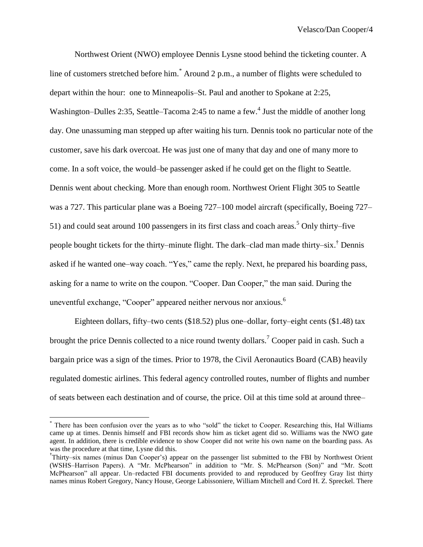Northwest Orient (NWO) employee Dennis Lysne stood behind the ticketing counter. A line of customers stretched before him.\* Around 2 p.m., a number of flights were scheduled to depart within the hour: one to Minneapolis–St. Paul and another to Spokane at 2:25, Washington–Dulles 2:35, Seattle–Tacoma 2:45 to name a few.<sup>4</sup> Just the middle of another long day. One unassuming man stepped up after waiting his turn. Dennis took no particular note of the customer, save his dark overcoat. He was just one of many that day and one of many more to come. In a soft voice, the would–be passenger asked if he could get on the flight to Seattle. Dennis went about checking. More than enough room. Northwest Orient Flight 305 to Seattle was a 727. This particular plane was a Boeing 727–100 model aircraft (specifically, Boeing 727– 51) and could seat around 100 passengers in its first class and coach areas.<sup>5</sup> Only thirty–five people bought tickets for the thirty–minute flight. The dark–clad man made thirty–six.<sup>†</sup> Dennis asked if he wanted one–way coach. "Yes," came the reply. Next, he prepared his boarding pass, asking for a name to write on the coupon. "Cooper. Dan Cooper," the man said. During the uneventful exchange, "Cooper" appeared neither nervous nor anxious.<sup>6</sup>

Eighteen dollars, fifty–two cents (\$18.52) plus one–dollar, forty–eight cents (\$1.48) tax brought the price Dennis collected to a nice round twenty dollars.<sup>7</sup> Cooper paid in cash. Such a bargain price was a sign of the times. Prior to 1978, the Civil Aeronautics Board (CAB) heavily regulated domestic airlines. This federal agency controlled routes, number of flights and number of seats between each destination and of course, the price. Oil at this time sold at around three–

<sup>\*</sup> There has been confusion over the years as to who "sold" the ticket to Cooper. Researching this, Hal Williams came up at times. Dennis himself and FBI records show him as ticket agent did so. Williams was the NWO gate agent. In addition, there is credible evidence to show Cooper did not write his own name on the boarding pass. As was the procedure at that time, Lysne did this.

<sup>†</sup> Thirty–six names (minus Dan Cooper's) appear on the passenger list submitted to the FBI by Northwest Orient (WSHS–Harrison Papers). A "Mr. McPhearson" in addition to "Mr. S. McPhearson (Son)" and "Mr. Scott McPhearson" all appear. Un–redacted FBI documents provided to and reproduced by Geoffrey Gray list thirty names minus Robert Gregory, Nancy House, George Labissoniere, William Mitchell and Cord H. Z. Spreckel. There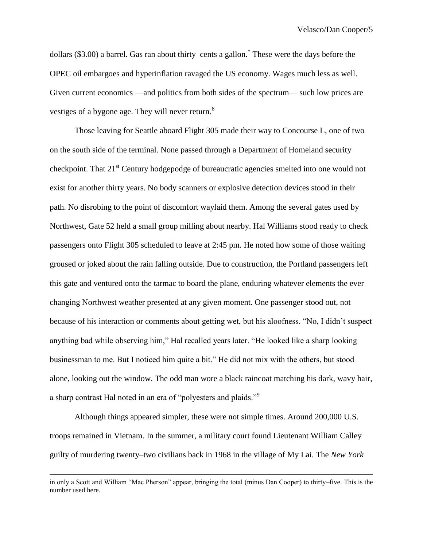Velasco/Dan Cooper/5

dollars (\$3.00) a barrel. Gas ran about thirty–cents a gallon.\* These were the days before the OPEC oil embargoes and hyperinflation ravaged the US economy. Wages much less as well. Given current economics —and politics from both sides of the spectrum— such low prices are vestiges of a bygone age. They will never return.<sup>8</sup>

Those leaving for Seattle aboard Flight 305 made their way to Concourse L, one of two on the south side of the terminal. None passed through a Department of Homeland security checkpoint. That 21<sup>st</sup> Century hodgepodge of bureaucratic agencies smelted into one would not exist for another thirty years. No body scanners or explosive detection devices stood in their path. No disrobing to the point of discomfort waylaid them. Among the several gates used by Northwest, Gate 52 held a small group milling about nearby. Hal Williams stood ready to check passengers onto Flight 305 scheduled to leave at 2:45 pm. He noted how some of those waiting groused or joked about the rain falling outside. Due to construction, the Portland passengers left this gate and ventured onto the tarmac to board the plane, enduring whatever elements the ever– changing Northwest weather presented at any given moment. One passenger stood out, not because of his interaction or comments about getting wet, but his aloofness. "No, I didn't suspect anything bad while observing him," Hal recalled years later. "He looked like a sharp looking businessman to me. But I noticed him quite a bit." He did not mix with the others, but stood alone, looking out the window. The odd man wore a black raincoat matching his dark, wavy hair, a sharp contrast Hal noted in an era of "polyesters and plaids."<sup>9</sup>

Although things appeared simpler, these were not simple times. Around 200,000 U.S. troops remained in Vietnam. In the summer, a military court found Lieutenant William Calley guilty of murdering twenty–two civilians back in 1968 in the village of My Lai. The *New York* 

in only a Scott and William "Mac Pherson" appear, bringing the total (minus Dan Cooper) to thirty–five. This is the number used here.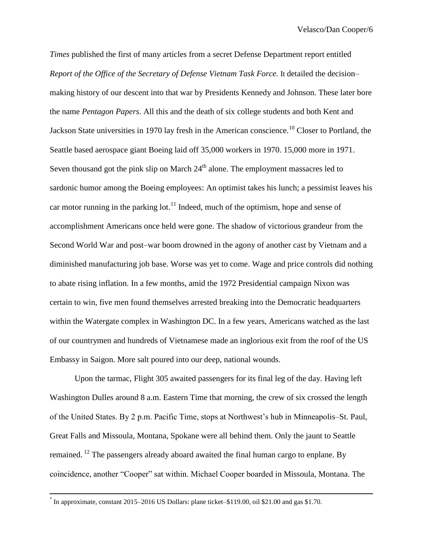*Times* published the first of many articles from a secret Defense Department report entitled *Report of the Office of the Secretary of Defense Vietnam Task Force.* It detailed the decision– making history of our descent into that war by Presidents Kennedy and Johnson. These later bore the name *Pentagon Papers*. All this and the death of six college students and both Kent and Jackson State universities in 1970 lay fresh in the American conscience.<sup>10</sup> Closer to Portland, the Seattle based aerospace giant Boeing laid off 35,000 workers in 1970. 15,000 more in 1971. Seven thousand got the pink slip on March  $24<sup>th</sup>$  alone. The employment massacres led to sardonic humor among the Boeing employees: An optimist takes his lunch; a pessimist leaves his car motor running in the parking lot.<sup>11</sup> Indeed, much of the optimism, hope and sense of accomplishment Americans once held were gone. The shadow of victorious grandeur from the Second World War and post–war boom drowned in the agony of another cast by Vietnam and a diminished manufacturing job base. Worse was yet to come. Wage and price controls did nothing to abate rising inflation. In a few months, amid the 1972 Presidential campaign Nixon was certain to win, five men found themselves arrested breaking into the Democratic headquarters within the Watergate complex in Washington DC. In a few years, Americans watched as the last of our countrymen and hundreds of Vietnamese made an inglorious exit from the roof of the US Embassy in Saigon. More salt poured into our deep, national wounds.

Upon the tarmac, Flight 305 awaited passengers for its final leg of the day. Having left Washington Dulles around 8 a.m. Eastern Time that morning, the crew of six crossed the length of the United States. By 2 p.m. Pacific Time, stops at Northwest's hub in Minneapolis–St. Paul, Great Falls and Missoula, Montana, Spokane were all behind them. Only the jaunt to Seattle remained. <sup>12</sup> The passengers already aboard awaited the final human cargo to enplane. By coincidence, another "Cooper" sat within. Michael Cooper boarded in Missoula, Montana. The

 $\overline{a}$ 

<sup>\*</sup> In approximate, constant 2015–2016 US Dollars: plane ticket–\$119.00, oil \$21.00 and gas \$1.70.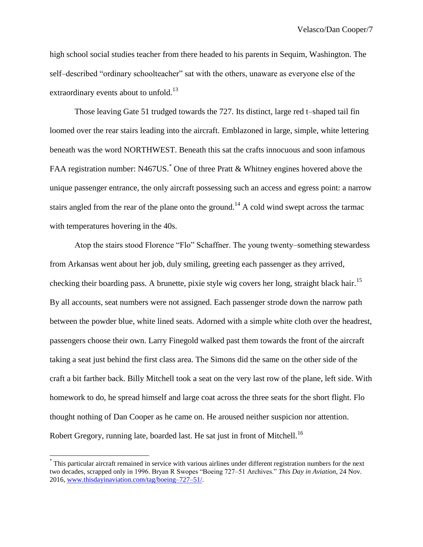high school social studies teacher from there headed to his parents in Sequim, Washington. The self–described "ordinary schoolteacher" sat with the others, unaware as everyone else of the extraordinary events about to unfold.<sup>13</sup>

Those leaving Gate 51 trudged towards the 727. Its distinct, large red t–shaped tail fin loomed over the rear stairs leading into the aircraft. Emblazoned in large, simple, white lettering beneath was the word NORTHWEST. Beneath this sat the crafts innocuous and soon infamous FAA registration number: N467US.<sup>\*</sup> One of three Pratt & Whitney engines hovered above the unique passenger entrance, the only aircraft possessing such an access and egress point: a narrow stairs angled from the rear of the plane onto the ground.<sup>14</sup> A cold wind swept across the tarmac with temperatures hovering in the 40s.

Atop the stairs stood Florence "Flo" Schaffner. The young twenty–something stewardess from Arkansas went about her job, duly smiling, greeting each passenger as they arrived, checking their boarding pass. A brunette, pixie style wig covers her long, straight black hair.<sup>15</sup> By all accounts, seat numbers were not assigned. Each passenger strode down the narrow path between the powder blue, white lined seats. Adorned with a simple white cloth over the headrest, passengers choose their own. Larry Finegold walked past them towards the front of the aircraft taking a seat just behind the first class area. The Simons did the same on the other side of the craft a bit farther back. Billy Mitchell took a seat on the very last row of the plane, left side. With homework to do, he spread himself and large coat across the three seats for the short flight. Flo thought nothing of Dan Cooper as he came on. He aroused neither suspicion nor attention. Robert Gregory, running late, boarded last. He sat just in front of Mitchell.<sup>16</sup>

<sup>\*</sup> This particular aircraft remained in service with various airlines under different registration numbers for the next two decades, scrapped only in 1996. Bryan R Swopes "Boeing 727–51 Archives." *This Day in Aviation,* 24 Nov. 2016, [www.thisdayinaviation.com/tag/boeing–727–51/.](http://www.thisdayinaviation.com/tag/boeing-727-51/)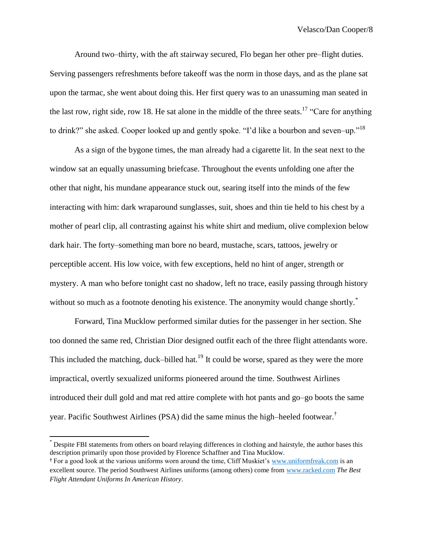Around two–thirty, with the aft stairway secured, Flo began her other pre–flight duties. Serving passengers refreshments before takeoff was the norm in those days, and as the plane sat upon the tarmac, she went about doing this. Her first query was to an unassuming man seated in the last row, right side, row 18. He sat alone in the middle of the three seats.<sup>17</sup> "Care for anything" to drink?" she asked. Cooper looked up and gently spoke. "I'd like a bourbon and seven–up."<sup>18</sup>

As a sign of the bygone times, the man already had a cigarette lit. In the seat next to the window sat an equally unassuming briefcase. Throughout the events unfolding one after the other that night, his mundane appearance stuck out, searing itself into the minds of the few interacting with him: dark wraparound sunglasses, suit, shoes and thin tie held to his chest by a mother of pearl clip, all contrasting against his white shirt and medium, olive complexion below dark hair. The forty–something man bore no beard, mustache, scars, tattoos, jewelry or perceptible accent. His low voice, with few exceptions, held no hint of anger, strength or mystery. A man who before tonight cast no shadow, left no trace, easily passing through history without so much as a footnote denoting his existence. The anonymity would change shortly.<sup>\*</sup>

Forward, Tina Mucklow performed similar duties for the passenger in her section. She too donned the same red, Christian Dior designed outfit each of the three flight attendants wore. This included the matching, duck–billed hat.<sup>19</sup> It could be worse, spared as they were the more impractical, overtly sexualized uniforms pioneered around the time. Southwest Airlines introduced their dull gold and mat red attire complete with hot pants and go–go boots the same year. Pacific Southwest Airlines (PSA) did the same minus the high–heeled footwear.†

 $\overline{a}$ 

<sup>\*</sup> Despite FBI statements from others on board relaying differences in clothing and hairstyle, the author bases this description primarily upon those provided by Florence Schaffner and Tina Mucklow.

**<sup>†</sup>** For a good look at the various uniforms worn around the time, Cliff Muskiet's [www.uniformfreak.com](http://www.uniformfreak.com/) is an excellent source. The period Southwest Airlines uniforms (among others) come from [www.racked.com](http://www.racked.com/) *The Best Flight Attendant Uniforms In American History*.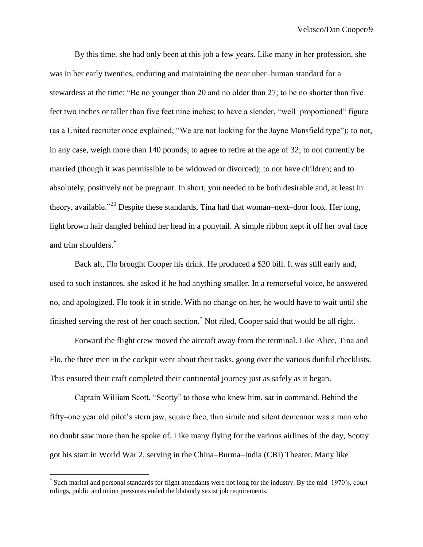By this time, she had only been at this job a few years. Like many in her profession, she was in her early twenties, enduring and maintaining the near uber–human standard for a stewardess at the time: "Be no younger than 20 and no older than 27; to be no shorter than five feet two inches or taller than five feet nine inches; to have a slender, "well–proportioned" figure (as a United recruiter once explained, "We are not looking for the Jayne Mansfield type"); to not, in any case, weigh more than 140 pounds; to agree to retire at the age of 32; to not currently be married (though it was permissible to be widowed or divorced); to not have children; and to absolutely, positively not be pregnant. In short, you needed to be both desirable and, at least in theory, available."<sup>20</sup> Despite these standards, Tina had that woman–next–door look. Her long, light brown hair dangled behind her head in a ponytail. A simple ribbon kept it off her oval face and trim shoulders.<sup>\*</sup>

Back aft, Flo brought Cooper his drink. He produced a \$20 bill. It was still early and, used to such instances, she asked if he had anything smaller. In a remorseful voice, he answered no, and apologized. Flo took it in stride. With no change on her, he would have to wait until she finished serving the rest of her coach section.\* Not riled, Cooper said that would be all right.

Forward the flight crew moved the aircraft away from the terminal. Like Alice, Tina and Flo, the three men in the cockpit went about their tasks, going over the various dutiful checklists. This ensured their craft completed their continental journey just as safely as it began.

Captain William Scott, "Scotty" to those who knew him, sat in command. Behind the fifty–one year old pilot's stern jaw, square face, thin simile and silent demeanor was a man who no doubt saw more than he spoke of. Like many flying for the various airlines of the day, Scotty got his start in World War 2, serving in the China–Burma–India (CBI) Theater. Many like

<sup>\*</sup> Such marital and personal standards for flight attendants were not long for the industry. By the mid–1970's, court rulings, public and union pressures ended the blatantly sexist job requirements.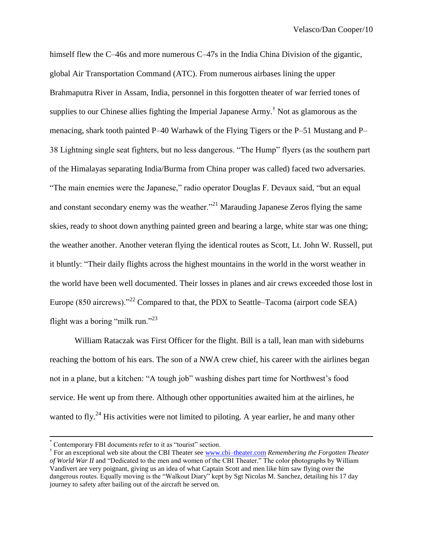himself flew the C–46s and more numerous C–47s in the India China Division of the gigantic, global Air Transportation Command (ATC). From numerous airbases lining the upper Brahmaputra River in Assam, India, personnel in this forgotten theater of war ferried tones of supplies to our Chinese allies fighting the Imperial Japanese Army.† Not as glamorous as the menacing, shark tooth painted P–40 Warhawk of the Flying Tigers or the P–51 Mustang and P– 38 Lightning single seat fighters, but no less dangerous. "The Hump" flyers (as the southern part of the Himalayas separating India/Burma from China proper was called) faced two adversaries. "The main enemies were the Japanese," radio operator Douglas F. Devaux said, "but an equal and constant secondary enemy was the weather.<sup>"21</sup> Marauding Japanese Zeros flying the same skies, ready to shoot down anything painted green and bearing a large, white star was one thing; the weather another. Another veteran flying the identical routes as Scott, Lt. John W. Russell, put it bluntly: "Their daily flights across the highest mountains in the world in the worst weather in the world have been well documented. Their losses in planes and air crews exceeded those lost in Europe (850 aircrews)."<sup>22</sup> Compared to that, the PDX to Seattle–Tacoma (airport code SEA) flight was a boring "milk run."<sup>23</sup>

William Rataczak was First Officer for the flight. Bill is a tall, lean man with sideburns reaching the bottom of his ears. The son of a NWA crew chief, his career with the airlines began not in a plane, but a kitchen: "A tough job" washing dishes part time for Northwest's food service. He went up from there. Although other opportunities awaited him at the airlines, he wanted to fly.<sup>24</sup> His activities were not limited to piloting. A year earlier, he and many other

 $\overline{a}$ 

<sup>\*</sup> Contemporary FBI documents refer to it as "tourist" section.

<sup>&</sup>lt;sup>†</sup> For an exceptional web site about the CBI Theater see [www.cbi–theater.com](http://www.cbi-theater.com/) *Remembering the Forgotten Theater of World War II* and "Dedicated to the men and women of the CBI Theater." The color photographs by William Vandivert are very poignant, giving us an idea of what Captain Scott and men like him saw flying over the dangerous routes. Equally moving is the "Walkout Diary" kept by Sgt Nicolas M. Sanchez, detailing his 17 day journey to safety after bailing out of the aircraft he served on.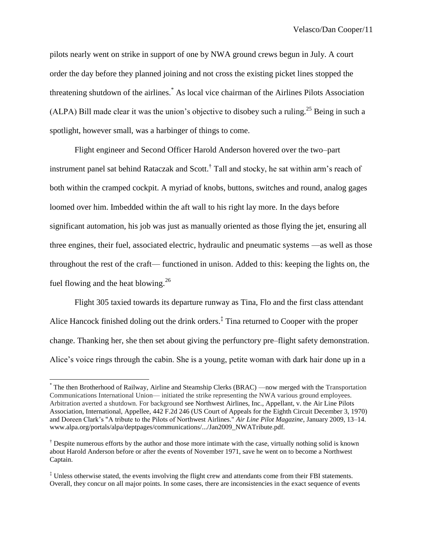pilots nearly went on strike in support of one by NWA ground crews begun in July. A court order the day before they planned joining and not cross the existing picket lines stopped the threatening shutdown of the airlines.\* As local vice chairman of the Airlines Pilots Association (ALPA) Bill made clear it was the union's objective to disobey such a ruling.<sup>25</sup> Being in such a spotlight, however small, was a harbinger of things to come.

Flight engineer and Second Officer Harold Anderson hovered over the two–part instrument panel sat behind Rataczak and Scott.<sup>†</sup> Tall and stocky, he sat within arm's reach of both within the cramped cockpit. A myriad of knobs, buttons, switches and round, analog gages loomed over him. Imbedded within the aft wall to his right lay more. In the days before significant automation, his job was just as manually oriented as those flying the jet, ensuring all three engines, their fuel, associated electric, hydraulic and pneumatic systems —as well as those throughout the rest of the craft— functioned in unison. Added to this: keeping the lights on, the fuel flowing and the heat blowing.<sup>26</sup>

Flight 305 taxied towards its departure runway as Tina, Flo and the first class attendant Alice Hancock finished doling out the drink orders.<sup>†</sup> Tina returned to Cooper with the proper change. Thanking her, she then set about giving the perfunctory pre–flight safety demonstration. Alice's voice rings through the cabin. She is a young, petite woman with dark hair done up in a

<sup>\*</sup> The then Brotherhood of Railway, Airline and Steamship Clerks (BRAC) —now merged with the Transportation Communications International Union— initiated the strike representing the NWA various ground employees. Arbitration averted a shutdown. For background see Northwest Airlines, Inc., Appellant, v. the Air Line Pilots Association, International, Appellee, 442 F.2d 246 (US Court of Appeals for the Eighth Circuit December 3, 1970) and Doreen Clark's "A tribute to the Pilots of Northwest Airlines." *Air Line Pilot Magazine*, January 2009, 13–14. www.alpa.org/portals/alpa/deptpages/communications/.../Jan2009\_NWATribute.pdf.

 $\dagger$  Despite numerous efforts by the author and those more intimate with the case, virtually nothing solid is known about Harold Anderson before or after the events of November 1971, save he went on to become a Northwest Captain.

<sup>‡</sup> Unless otherwise stated, the events involving the flight crew and attendants come from their FBI statements. Overall, they concur on all major points. In some cases, there are inconsistencies in the exact sequence of events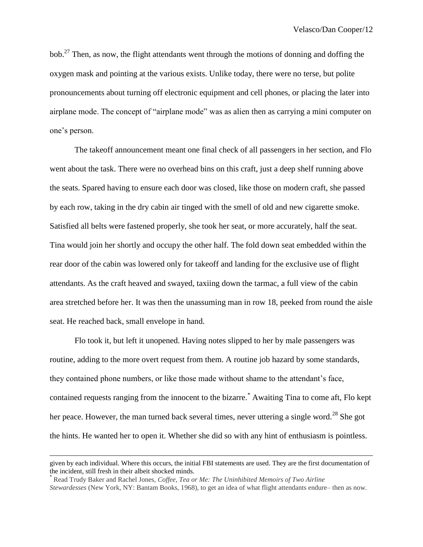bob.<sup>27</sup> Then, as now, the flight attendants went through the motions of donning and doffing the oxygen mask and pointing at the various exists. Unlike today, there were no terse, but polite pronouncements about turning off electronic equipment and cell phones, or placing the later into airplane mode. The concept of "airplane mode" was as alien then as carrying a mini computer on one's person.

The takeoff announcement meant one final check of all passengers in her section, and Flo went about the task. There were no overhead bins on this craft, just a deep shelf running above the seats. Spared having to ensure each door was closed, like those on modern craft, she passed by each row, taking in the dry cabin air tinged with the smell of old and new cigarette smoke. Satisfied all belts were fastened properly, she took her seat, or more accurately, half the seat. Tina would join her shortly and occupy the other half. The fold down seat embedded within the rear door of the cabin was lowered only for takeoff and landing for the exclusive use of flight attendants. As the craft heaved and swayed, taxiing down the tarmac, a full view of the cabin area stretched before her. It was then the unassuming man in row 18, peeked from round the aisle seat. He reached back, small envelope in hand.

Flo took it, but left it unopened. Having notes slipped to her by male passengers was routine, adding to the more overt request from them. A routine job hazard by some standards, they contained phone numbers, or like those made without shame to the attendant's face, contained requests ranging from the innocent to the bizarre.\* Awaiting Tina to come aft, Flo kept her peace. However, the man turned back several times, never uttering a single word.<sup>28</sup> She got the hints. He wanted her to open it. Whether she did so with any hint of enthusiasm is pointless.

given by each individual. Where this occurs, the initial FBI statements are used. They are the first documentation of the incident, still fresh in their albeit shocked minds.

<sup>\*</sup> Read Trudy Baker and Rachel Jones, *Coffee, Tea or Me: The Uninhibited Memoirs of Two Airline Stewardesses* (New York, NY: Bantam Books, 1968), to get an idea of what flight attendants endure– then as now.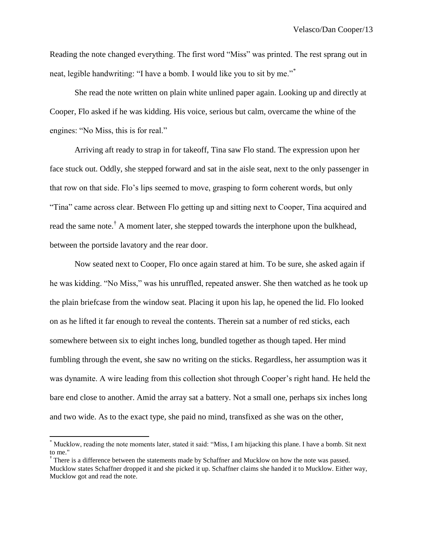Reading the note changed everything. The first word "Miss" was printed. The rest sprang out in neat, legible handwriting: "I have a bomb. I would like you to sit by me."\*

She read the note written on plain white unlined paper again. Looking up and directly at Cooper, Flo asked if he was kidding. His voice, serious but calm, overcame the whine of the engines: "No Miss, this is for real."

Arriving aft ready to strap in for takeoff, Tina saw Flo stand. The expression upon her face stuck out. Oddly, she stepped forward and sat in the aisle seat, next to the only passenger in that row on that side. Flo's lips seemed to move, grasping to form coherent words, but only "Tina" came across clear. Between Flo getting up and sitting next to Cooper, Tina acquired and read the same note.† A moment later, she stepped towards the interphone upon the bulkhead, between the portside lavatory and the rear door.

Now seated next to Cooper, Flo once again stared at him. To be sure, she asked again if he was kidding. "No Miss," was his unruffled, repeated answer. She then watched as he took up the plain briefcase from the window seat. Placing it upon his lap, he opened the lid. Flo looked on as he lifted it far enough to reveal the contents. Therein sat a number of red sticks, each somewhere between six to eight inches long, bundled together as though taped. Her mind fumbling through the event, she saw no writing on the sticks. Regardless, her assumption was it was dynamite. A wire leading from this collection shot through Cooper's right hand. He held the bare end close to another. Amid the array sat a battery. Not a small one, perhaps six inches long and two wide. As to the exact type, she paid no mind, transfixed as she was on the other,

 $\overline{a}$ 

Mucklow, reading the note moments later, stated it said: "Miss, I am hijacking this plane. I have a bomb. Sit next to me."

<sup>&</sup>lt;sup>†</sup> There is a difference between the statements made by Schaffner and Mucklow on how the note was passed. Mucklow states Schaffner dropped it and she picked it up. Schaffner claims she handed it to Mucklow. Either way, Mucklow got and read the note.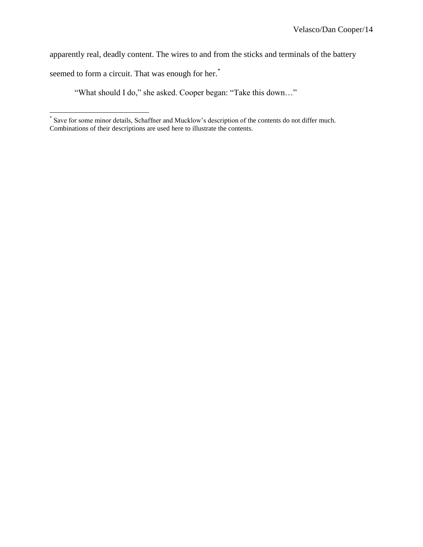apparently real, deadly content. The wires to and from the sticks and terminals of the battery

seemed to form a circuit. That was enough for her.<sup>\*</sup>

"What should I do," she asked. Cooper began: "Take this down…"

 \* Save for some minor details, Schaffner and Mucklow's description of the contents do not differ much. Combinations of their descriptions are used here to illustrate the contents.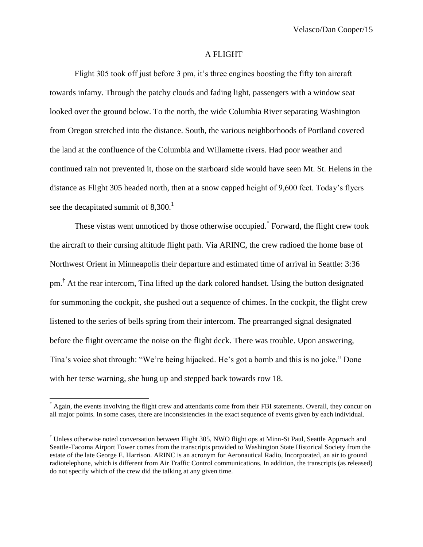#### A FLIGHT

Flight 305 took off just before 3 pm, it's three engines boosting the fifty ton aircraft towards infamy. Through the patchy clouds and fading light, passengers with a window seat looked over the ground below. To the north, the wide Columbia River separating Washington from Oregon stretched into the distance. South, the various neighborhoods of Portland covered the land at the confluence of the Columbia and Willamette rivers. Had poor weather and continued rain not prevented it, those on the starboard side would have seen Mt. St. Helens in the distance as Flight 305 headed north, then at a snow capped height of 9,600 feet. Today's flyers see the decapitated summit of  $8,300$ <sup>1</sup>

These vistas went unnoticed by those otherwise occupied.\* Forward, the flight crew took the aircraft to their cursing altitude flight path. Via ARINC, the crew radioed the home base of Northwest Orient in Minneapolis their departure and estimated time of arrival in Seattle: 3:36 pm.<sup>†</sup> At the rear intercom, Tina lifted up the dark colored handset. Using the button designated for summoning the cockpit, she pushed out a sequence of chimes. In the cockpit, the flight crew listened to the series of bells spring from their intercom. The prearranged signal designated before the flight overcame the noise on the flight deck. There was trouble. Upon answering, Tina's voice shot through: "We're being hijacked. He's got a bomb and this is no joke." Done with her terse warning, she hung up and stepped back towards row 18.

Again, the events involving the flight crew and attendants come from their FBI statements. Overall, they concur on all major points. In some cases, there are inconsistencies in the exact sequence of events given by each individual.

<sup>†</sup> Unless otherwise noted conversation between Flight 305, NWO flight ops at Minn-St Paul, Seattle Approach and Seattle-Tacoma Airport Tower comes from the transcripts provided to Washington State Historical Society from the estate of the late George E. Harrison. ARINC is an acronym for Aeronautical Radio, Incorporated, an air to ground radiotelephone, which is different from Air Traffic Control communications. In addition, the transcripts (as released) do not specify which of the crew did the talking at any given time.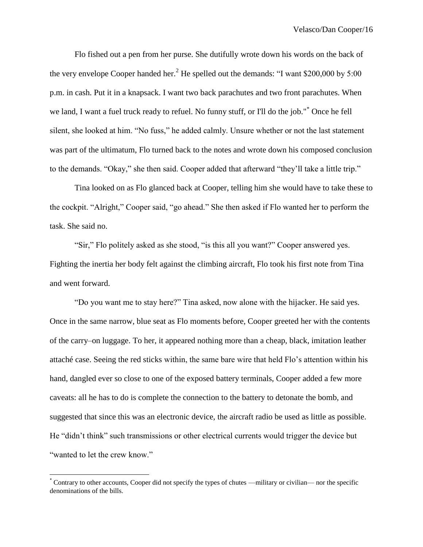Flo fished out a pen from her purse. She dutifully wrote down his words on the back of the very envelope Cooper handed her.<sup>2</sup> He spelled out the demands: "I want \$200,000 by 5:00 p.m. in cash. Put it in a knapsack. I want two back parachutes and two front parachutes. When we land, I want a fuel truck ready to refuel. No funny stuff, or I'll do the job."\* Once he fell silent, she looked at him. "No fuss," he added calmly. Unsure whether or not the last statement was part of the ultimatum, Flo turned back to the notes and wrote down his composed conclusion to the demands. "Okay," she then said. Cooper added that afterward "they'll take a little trip."

Tina looked on as Flo glanced back at Cooper, telling him she would have to take these to the cockpit. "Alright," Cooper said, "go ahead." She then asked if Flo wanted her to perform the task. She said no.

"Sir," Flo politely asked as she stood, "is this all you want?" Cooper answered yes. Fighting the inertia her body felt against the climbing aircraft, Flo took his first note from Tina and went forward.

"Do you want me to stay here?" Tina asked, now alone with the hijacker. He said yes. Once in the same narrow, blue seat as Flo moments before, Cooper greeted her with the contents of the carry–on luggage. To her, it appeared nothing more than a cheap, black, imitation leather attaché case. Seeing the red sticks within, the same bare wire that held Flo's attention within his hand, dangled ever so close to one of the exposed battery terminals, Cooper added a few more caveats: all he has to do is complete the connection to the battery to detonate the bomb, and suggested that since this was an electronic device, the aircraft radio be used as little as possible. He "didn't think" such transmissions or other electrical currents would trigger the device but "wanted to let the crew know."

<sup>\*</sup> Contrary to other accounts, Cooper did not specify the types of chutes —military or civilian— nor the specific denominations of the bills.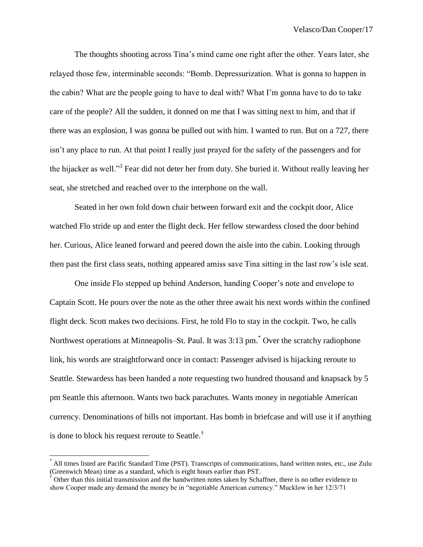The thoughts shooting across Tina's mind came one right after the other. Years later, she relayed those few, interminable seconds: "Bomb. Depressurization. What is gonna to happen in the cabin? What are the people going to have to deal with? What I'm gonna have to do to take care of the people? All the sudden, it donned on me that I was sitting next to him, and that if there was an explosion, I was gonna be pulled out with him. I wanted to run. But on a 727, there isn't any place to run. At that point I really just prayed for the safety of the passengers and for the hijacker as well."<sup>3</sup> Fear did not deter her from duty. She buried it. Without really leaving her seat, she stretched and reached over to the interphone on the wall.

Seated in her own fold down chair between forward exit and the cockpit door, Alice watched Flo stride up and enter the flight deck. Her fellow stewardess closed the door behind her. Curious, Alice leaned forward and peered down the aisle into the cabin. Looking through then past the first class seats, nothing appeared amiss save Tina sitting in the last row's isle seat.

One inside Flo stepped up behind Anderson, handing Cooper's note and envelope to Captain Scott. He pours over the note as the other three await his next words within the confined flight deck. Scott makes two decisions. First, he told Flo to stay in the cockpit. Two, he calls Northwest operations at Minneapolis–St. Paul. It was 3:13 pm.\* Over the scratchy radiophone link, his words are straightforward once in contact: Passenger advised is hijacking reroute to Seattle. Stewardess has been handed a note requesting two hundred thousand and knapsack by 5 pm Seattle this afternoon. Wants two back parachutes. Wants money in negotiable American currency. Denominations of bills not important. Has bomb in briefcase and will use it if anything is done to block his request reroute to Seattle.†

<sup>\*</sup> All times listed are Pacific Standard Time (PST). Transcripts of communications, hand written notes, etc., use Zulu (Greenwich Mean) time as a standard, which is eight hours earlier than PST.

 $\dagger$  Other than this initial transmission and the handwritten notes taken by Schaffner, there is no other evidence to show Cooper made any demand the money be in "negotiable American currency." Mucklow in her 12/3/71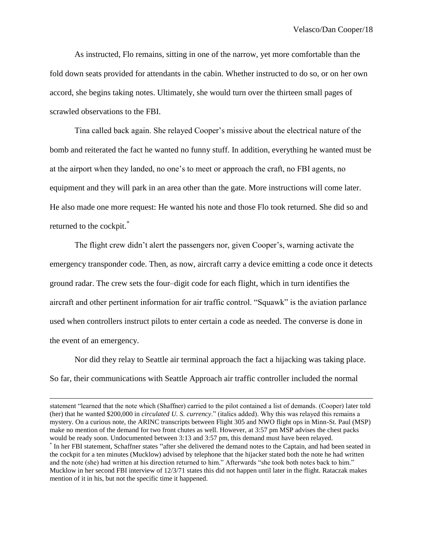As instructed, Flo remains, sitting in one of the narrow, yet more comfortable than the fold down seats provided for attendants in the cabin. Whether instructed to do so, or on her own accord, she begins taking notes. Ultimately, she would turn over the thirteen small pages of scrawled observations to the FBI.

Tina called back again. She relayed Cooper's missive about the electrical nature of the bomb and reiterated the fact he wanted no funny stuff. In addition, everything he wanted must be at the airport when they landed, no one's to meet or approach the craft, no FBI agents, no equipment and they will park in an area other than the gate. More instructions will come later. He also made one more request: He wanted his note and those Flo took returned. She did so and returned to the cockpit.\*

The flight crew didn't alert the passengers nor, given Cooper's, warning activate the emergency transponder code. Then, as now, aircraft carry a device emitting a code once it detects ground radar. The crew sets the four–digit code for each flight, which in turn identifies the aircraft and other pertinent information for air traffic control. "Squawk" is the aviation parlance used when controllers instruct pilots to enter certain a code as needed. The converse is done in the event of an emergency.

Nor did they relay to Seattle air terminal approach the fact a hijacking was taking place. So far, their communications with Seattle Approach air traffic controller included the normal

statement "learned that the note which (Shaffner) carried to the pilot contained a list of demands. (Cooper) later told (her) that he wanted \$200,000 in *circulated U. S. currency*." (italics added). Why this was relayed this remains a mystery. On a curious note, the ARINC transcripts between Flight 305 and NWO flight ops in Minn-St. Paul (MSP) make no mention of the demand for two front chutes as well. However, at 3:57 pm MSP advises the chest packs would be ready soon. Undocumented between 3:13 and 3:57 pm, this demand must have been relayed.

<sup>\*</sup> In her FBI statement, Schaffner states "after she delivered the demand notes to the Captain, and had been seated in the cockpit for a ten minutes (Mucklow) advised by telephone that the hijacker stated both the note he had written and the note (she) had written at his direction returned to him." Afterwards "she took both notes back to him." Mucklow in her second FBI interview of 12/3/71 states this did not happen until later in the flight. Rataczak makes mention of it in his, but not the specific time it happened.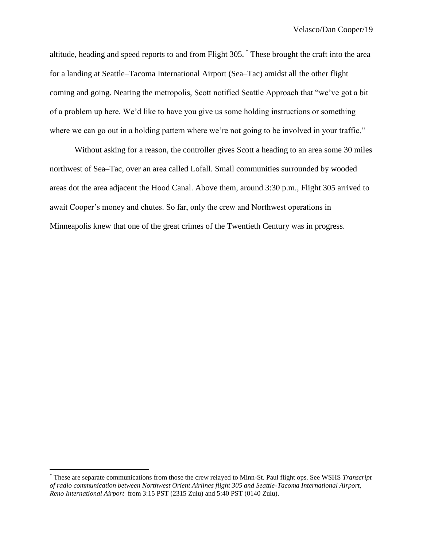altitude, heading and speed reports to and from Flight 305. \* These brought the craft into the area for a landing at Seattle–Tacoma International Airport (Sea–Tac) amidst all the other flight coming and going. Nearing the metropolis, Scott notified Seattle Approach that "we've got a bit of a problem up here. We'd like to have you give us some holding instructions or something where we can go out in a holding pattern where we're not going to be involved in your traffic."

Without asking for a reason, the controller gives Scott a heading to an area some 30 miles northwest of Sea–Tac, over an area called Lofall. Small communities surrounded by wooded areas dot the area adjacent the Hood Canal. Above them, around 3:30 p.m., Flight 305 arrived to await Cooper's money and chutes. So far, only the crew and Northwest operations in Minneapolis knew that one of the great crimes of the Twentieth Century was in progress.

<sup>\*</sup> These are separate communications from those the crew relayed to Minn-St. Paul flight ops. See WSHS *Transcript of radio communication between Northwest Orient Airlines flight 305 and Seattle-Tacoma International Airport, Reno International Airport* from 3:15 PST (2315 Zulu) and 5:40 PST (0140 Zulu).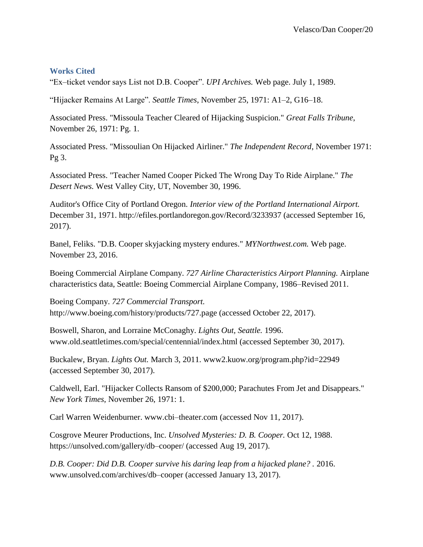### **Works Cited**

"Ex–ticket vendor says List not D.B. Cooper". *UPI Archives.* Web page. July 1, 1989.

"Hijacker Remains At Large". *Seattle Times*, November 25, 1971: A1–2, G16–18.

Associated Press. "Missoula Teacher Cleared of Hijacking Suspicion." *Great Falls Tribune*, November 26, 1971: Pg. 1.

Associated Press. "Missoulian On Hijacked Airliner." *The Independent Record*, November 1971: Pg 3.

Associated Press. "Teacher Named Cooper Picked The Wrong Day To Ride Airplane." *The Desert News.* West Valley City, UT, November 30, 1996.

Auditor's Office City of Portland Oregon. *Interior view of the Portland International Airport.* December 31, 1971. http://efiles.portlandoregon.gov/Record/3233937 (accessed September 16, 2017).

Banel, Feliks. "D.B. Cooper skyjacking mystery endures." *MYNorthwest.com.* Web page. November 23, 2016.

Boeing Commercial Airplane Company. *727 Airline Characteristics Airport Planning.* Airplane characteristics data, Seattle: Boeing Commercial Airplane Company, 1986–Revised 2011.

Boeing Company. *727 Commercial Transport.* http://www.boeing.com/history/products/727.page (accessed October 22, 2017).

Boswell, Sharon, and Lorraine McConaghy. *Lights Out, Seattle.* 1996. www.old.seattletimes.com/special/centennial/index.html (accessed September 30, 2017).

Buckalew, Bryan. *Lights Out.* March 3, 2011. www2.kuow.org/program.php?id=22949 (accessed September 30, 2017).

Caldwell, Earl. "Hijacker Collects Ransom of \$200,000; Parachutes From Jet and Disappears." *New York Times*, November 26, 1971: 1.

Carl Warren Weidenburner. www.cbi–theater.com (accessed Nov 11, 2017).

Cosgrove Meurer Productions, Inc. *Unsolved Mysteries: D. B. Cooper.* Oct 12, 1988. https://unsolved.com/gallery/db–cooper/ (accessed Aug 19, 2017).

*D.B. Cooper: Did D.B. Cooper survive his daring leap from a hijacked plane? .* 2016. www.unsolved.com/archives/db–cooper (accessed January 13, 2017).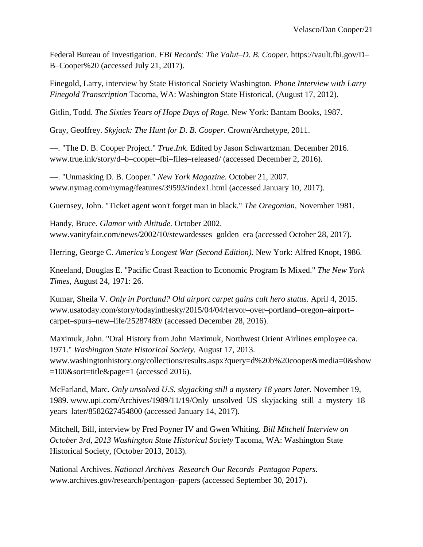Federal Bureau of Investigation. *FBI Records: The Valut–D. B. Cooper.* https://vault.fbi.gov/D– B–Cooper%20 (accessed July 21, 2017).

Finegold, Larry, interview by State Historical Society Washington. *Phone Interview with Larry Finegold Transcription* Tacoma, WA: Washington State Historical, (August 17, 2012).

Gitlin, Todd. *The Sixties Years of Hope Days of Rage.* New York: Bantam Books, 1987.

Gray, Geoffrey. *Skyjack: The Hunt for D. B. Cooper.* Crown/Archetype, 2011.

—. "The D. B. Cooper Project." *True.Ink.* Edited by Jason Schwartzman. December 2016. www.true.ink/story/d–b–cooper–fbi–files–released/ (accessed December 2, 2016).

—. "Unmasking D. B. Cooper." *New York Magazine.* October 21, 2007. www.nymag.com/nymag/features/39593/index1.html (accessed January 10, 2017).

Guernsey, John. "Ticket agent won't forget man in black." *The Oregonian*, November 1981.

Handy, Bruce. *Glamor with Altitude.* October 2002. www.vanityfair.com/news/2002/10/stewardesses–golden–era (accessed October 28, 2017).

Herring, George C. *America's Longest War (Second Edition).* New York: Alfred Knopt, 1986.

Kneeland, Douglas E. "Pacific Coast Reaction to Economic Program Is Mixed." *The New York Times*, August 24, 1971: 26.

Kumar, Sheila V. *Only in Portland? Old airport carpet gains cult hero status.* April 4, 2015. www.usatoday.com/story/todayinthesky/2015/04/04/fervor–over–portland–oregon–airport– carpet–spurs–new–life/25287489/ (accessed December 28, 2016).

Maximuk, John. "Oral History from John Maximuk, Northwest Orient Airlines employee ca. 1971." *Washington State Historical Society.* August 17, 2013. www.washingtonhistory.org/collections/results.aspx?query=d%20b%20cooper&media=0&show =100&sort=title&page=1 (accessed 2016).

McFarland, Marc. *Only unsolved U.S. skyjacking still a mystery 18 years later.* November 19, 1989. www.upi.com/Archives/1989/11/19/Only–unsolved–US–skyjacking–still–a–mystery–18– years–later/8582627454800 (accessed January 14, 2017).

Mitchell, Bill, interview by Fred Poyner IV and Gwen Whiting. *Bill Mitchell Interview on October 3rd, 2013 Washington State Historical Society* Tacoma, WA: Washington State Historical Society, (October 2013, 2013).

National Archives. *National Archives–Research Our Records–Pentagon Papers.* www.archives.gov/research/pentagon–papers (accessed September 30, 2017).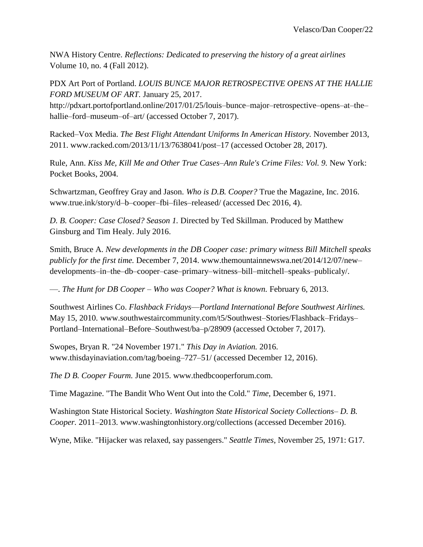NWA History Centre. *Reflections: Dedicated to preserving the history of a great airlines* Volume 10, no. 4 (Fall 2012).

PDX Art Port of Portland. *LOUIS BUNCE MAJOR RETROSPECTIVE OPENS AT THE HALLIE FORD MUSEUM OF ART.* January 25, 2017.

http://pdxart.portofportland.online/2017/01/25/louis–bunce–major–retrospective–opens–at–the– hallie–ford–museum–of–art/ (accessed October 7, 2017).

Racked–Vox Media. *The Best Flight Attendant Uniforms In American History.* November 2013, 2011. www.racked.com/2013/11/13/7638041/post–17 (accessed October 28, 2017).

Rule, Ann. *Kiss Me, Kill Me and Other True Cases–Ann Rule's Crime Files: Vol. 9.* New York: Pocket Books, 2004.

Schwartzman, Geoffrey Gray and Jason. *Who is D.B. Cooper?* True the Magazine, Inc. 2016. www.true.ink/story/d–b–cooper–fbi–files–released/ (accessed Dec 2016, 4).

*D. B. Cooper: Case Closed? Season 1.* Directed by Ted Skillman. Produced by Matthew Ginsburg and Tim Healy. July 2016.

Smith, Bruce A. *New developments in the DB Cooper case: primary witness Bill Mitchell speaks publicly for the first time.* December 7, 2014. www.themountainnewswa.net/2014/12/07/new– developments–in–the–db–cooper–case–primary–witness–bill–mitchell–speaks–publicaly/.

—. *The Hunt for DB Cooper – Who was Cooper? What is known.* February 6, 2013.

Southwest Airlines Co. *Flashback Fridays––Portland International Before Southwest Airlines.* May 15, 2010. www.southwestaircommunity.com/t5/Southwest–Stories/Flashback–Fridays– Portland–International–Before–Southwest/ba–p/28909 (accessed October 7, 2017).

Swopes, Bryan R. "24 November 1971." *This Day in Aviation.* 2016. www.thisdayinaviation.com/tag/boeing–727–51/ (accessed December 12, 2016).

*The D B. Cooper Fourm.* June 2015. www.thedbcooperforum.com.

Time Magazine. "The Bandit Who Went Out into the Cold." *Time*, December 6, 1971.

Washington State Historical Society. *Washington State Historical Society Collections– D. B. Cooper.* 2011–2013. www.washingtonhistory.org/collections (accessed December 2016).

Wyne, Mike. "Hijacker was relaxed, say passengers." *Seattle Times*, November 25, 1971: G17.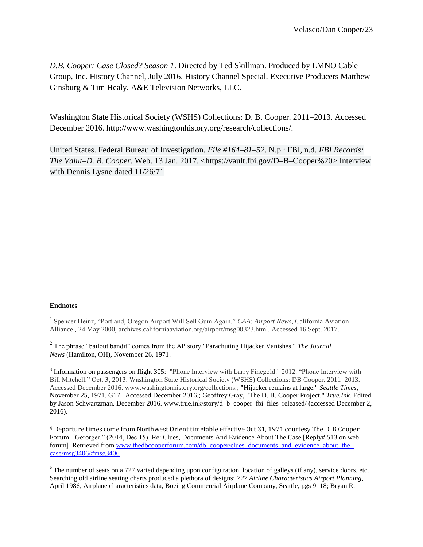*D.B. Cooper: Case Closed? Season 1*. Directed by Ted Skillman. Produced by LMNO Cable Group, Inc. History Channel, July 2016. History Channel Special. Executive Producers Matthew Ginsburg & Tim Healy. A&E Television Networks, LLC.

Washington State Historical Society (WSHS) Collections: D. B. Cooper. 2011–2013. Accessed December 2016. http://www.washingtonhistory.org/research/collections/.

United States. Federal Bureau of Investigation. *File #164–81–52*. N.p.: FBI, n.d. *FBI Records: The Valut–D. B. Cooper*. Web. 13 Jan. 2017. <https://vault.fbi.gov/D–B–Cooper%20>.Interview with Dennis Lysne dated 11/26/71

#### l **Endnotes**

<sup>3</sup> Information on passengers on flight 305: "Phone Interview with Larry Finegold." 2012. "Phone Interview with Bill Mitchell." Oct. 3, 2013. Washington State Historical Society (WSHS) Collections: DB Cooper. 2011–2013. Accessed December 2016. www.washingtonhistory.org/collections.; "Hijacker remains at large." *Seattle Times*, November 25, 1971. G17. Accessed December 2016.; Geoffrey Gray, "The D. B. Cooper Project." *True.Ink.* Edited by Jason Schwartzman. December 2016. www.true.ink/story/d–b–cooper–fbi–files–released/ (accessed December 2, 2016).

<sup>4</sup> Departure times come from Northwest Orient timetable effective Oct 31, 1971 courtesy The D. B Cooper Forum. "Gerorger." (2014, Dec 15). Re: Clues, [Documents](http://www.thedbcooperforum.com/db-cooper/clues-documents-and-evidence-about-the-case/msg3411/#msg3411) And Evidence About The Case [Reply# 513 on web forum] Retrieved from [www.thedbcooperforum.com/db–cooper/clues–documents–and–evidence–about–the–](http://www.thedbcooperforum.com/db-cooper/clues-documents-and-evidence-about-the-case/msg3406/#msg3406) [case/msg3406/#msg3406](http://www.thedbcooperforum.com/db-cooper/clues-documents-and-evidence-about-the-case/msg3406/#msg3406) 

<sup>&</sup>lt;sup>1</sup> Spencer Heinz, "Portland, Oregon Airport Will Sell Gum Again." *CAA: Airport News*, California Aviation Alliance , 24 May 2000, archives.californiaaviation.org/airport/msg08323.html. Accessed 16 Sept. 2017.

<sup>2</sup> The phrase "bailout bandit" comes from the AP story "Parachuting Hijacker Vanishes." *The Journal News* (Hamilton, OH), November 26, 1971.

 $5$  The number of seats on a 727 varied depending upon configuration, location of galleys (if any), service doors, etc. Searching old airline seating charts produced a plethora of designs: *727 Airline Characteristics Airport Planning*, April 1986, Airplane characteristics data, Boeing Commercial Airplane Company, Seattle, pgs 9–18; Bryan R.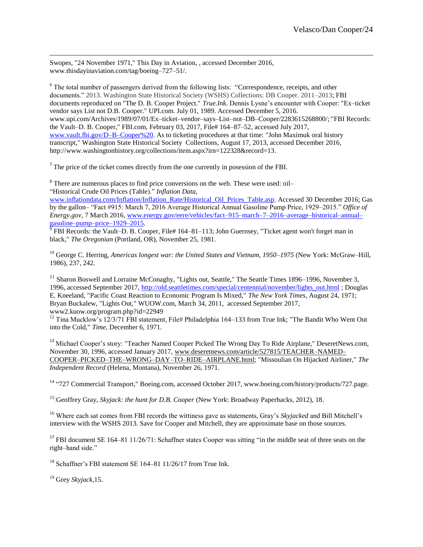Swopes, "24 November 1971," This Day in Aviation, , accessed December 2016, www.thisdayinaviation.com/tag/boeing–727–51/.

<sup>6</sup> The total number of passengers derived from the following lists: "Correspondence, receipts, and other documents." 2013. Washington State Historical Society (WSHS) Collections: DB Cooper. 2011–2013; FBI documents reproduced on "The D. B. Cooper Project." *True.Ink.* Dennis Lysne's encounter with Cooper: "Ex–ticket vendor says List not D.B. Cooper." UPI.com. July 01, 1989. Accessed December 5, 2016. www.upi.com/Archives/1989/07/01/Ex–ticket–vendor–says–List–not–DB–Cooper/2283615268800/; "FBI Records: the Vault–D. B. Cooper," FBI.com, February 03, 2017, File# 164–87–52, accessed July 2017, [www.vault.fbi.gov/D–B–Cooper%20.](http://www.vault.fbi.gov/D-B-Cooper) As to ticketing procedures at that time: "John Maximuk oral history transcript," Washington State Historical Society Collections, August 17, 2013, accessed December 2016, http://www.washingtonhistory.org/collections/item.aspx?irn=122328&record=13.

 $<sup>7</sup>$  The price of the ticket comes directly from the one currently in posession of the FBI.</sup>

<sup>8</sup> There are numerous places to find price conversions on the web. These were used: oil– "Historical Crude Oil Prices (Table)." *Inflation Data,* 

[www.inflationdata.com/Inflation/Inflation\\_Rate/Historical\\_Oil\\_Prices\\_Table.asp.](http://www.inflationdata.com/Inflation/Inflation_Rate/Historical_Oil_Prices_Table.asp) Accessed 30 December 2016; Gas by the gallon– "Fact #915: March 7, 2016 Average Historical Annual Gasoline Pump Price, 1929–2015." *Office of Energy.gov,* 7 March 2016, [www.energy.gov/eere/vehicles/fact–915–march–7–2016–average–historical–annual–](http://www.energy.gov/eere/vehicles/fact-915-march-7-2016-average-historical-annual-gasoline-pump-price-1929-2015) [gasoline–pump–price–1929–2015.](http://www.energy.gov/eere/vehicles/fact-915-march-7-2016-average-historical-annual-gasoline-pump-price-1929-2015)<br><sup>9</sup> FBI Records: the Vault–D. B. Cooper, File# 164–81–113; John Guernsey, "Ticket agent won't forget man in

black," *The Oregonian* (Portland, OR), November 25, 1981.

<sup>10</sup> George C. Herring, *Americas longest war: the United States and Vietnam, 1950–1975* (New York: McGraw–Hill, 1986), 237, 242.

 $11$  Sharon Boswell and Lorraine McConaghy, "Lights out, Seattle," The Seattle Times 1896–1996, November 3, 1996, accessed September 2017[, http://old.seattletimes.com/special/centennial/november/lights\\_out.html](http://old.seattletimes.com/special/centennial/november/lights_out.html) ; Douglas E. Kneeland, "Pacific Coast Reaction to Economic Program Is Mixed," *The New York Times*, August 24, 1971; Bryan Buckalew, "Lights Out," WUOW.com, March 34, 2011, accessed September 2017, www2.kuow.org/program.php?id=22949

<sup>12</sup> Tina Mucklow's 12/3/71 FBI statement, File# Philadelphia 164–133 from True Ink; "The Bandit Who Went Out into the Cold," *Time*, December 6, 1971.

<sup>13</sup> Michael Cooper's story: "Teacher Named Cooper Picked The Wrong Day To Ride Airplane," DeseretNews.com, November 30, 1996, accessed January 2017, [www.deseretnews.com/article/527815/TEACHER–NAMED–](http://www.deseretnews.com/article/527815/TEACHER-NAMED-COOPER-PICKED-THE-WRONG-DAY-TO-RIDE-AIRPLANE.html) [COOPER–PICKED–THE–WRONG–DAY–TO–RIDE–AIRPLANE.html;](http://www.deseretnews.com/article/527815/TEACHER-NAMED-COOPER-PICKED-THE-WRONG-DAY-TO-RIDE-AIRPLANE.html) "Missoulian On Hijacked Airliner," *The Independent Record* (Helena, Montana), November 26, 1971.

<sup>14</sup> "727 Commercial Transport," Boeing.com, accessed October 2017, www.boeing.com/history/products/727.page.

<sup>15</sup> Geoffrey Gray, *Skyjack: the hunt for D.B. Cooper* (New York: Broadway Paperbacks, 2012), 18.

<sup>16</sup> Where each sat comes from FBI records the wittiness gave as statements, Gray's *Skyjacked* and Bill Mitchell's interview with the WSHS 2013. Save for Cooper and Mitchell, they are approximate base on those sources.

<sup>17</sup> FBI document SE 164–81 11/26/71: Schaffner states Cooper was sitting "in the middle seat of three seats on the right–hand side."

<sup>18</sup> Schaffner's FBI statement SE 164–81 11/26/17 from True Ink.

<sup>19</sup> Grey *Skyjack,*15.